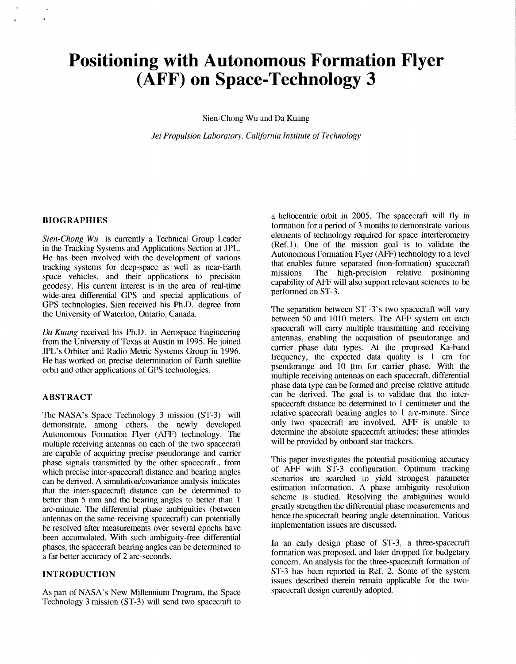# **Positioning with Autonomous Formation Flyer (AFF) on Space-Technology 3**

Sien-Chong Wu and Da Kuang

*Jet Propulsion Luboralory, California Institute of Technology* 

#### **BIOGRAPHIES**

*Sien-Chong Wu* is currently a Technical Group Leader in the Tracking Systems and Applications Section at **JPL.**  He has been involved with the development of various tracking systems for deep-space as well as near-Earth space vehicles, and their applications to precision geodesy. His current interest is in the area of real-time wide-area differential GPS and special applications of **GPS** technologies. Sien received his Ph.1). degree from the University **of** Waterloo, Ontario, Canada.

*Du Kuang* received his Ph.D. in Aerospace Engineering from the University of Texas at Austin in 1995. He joined **JPL's** Orbiter and Radio Metric Systems Group in 1996. He has worked on precise determination of Earth satellite orbit and other applications of **GPS** technologies.

## **ABSTRACT**

The **NASA's** Space Technology 3 mission (ST-3) will demonstrate, among others, the newly developed Autonomous Formation Flyer (AFF) technology. The multiple receiving antennas on each of the two spacecraft are capable of acquiring precise pseudorange and carrier phase signals transmitted by the other spacecraft., from which precise inter-spacecraft distance and bearing angles can be derived. A simulation/covariance analysis indicates that the inter-spacecraft distance can be determined to better than 5 mm and the bearing angles to better than 1 arc-minute. The differential phase ambiguities (between antennas on the same receiving spacecraft) can potentially be resolved after measurements over several epochs have been accumulated. With such ambiguity-free differential phases, the spacecraft bearing angles can be determined to a far better accuracy **of** 2 arc-seconds.

# **INTRODUCTION**

**As** part of NASA's New Millennium Program, the Space 'Technology 3 mission (ST-3) will send two spacecraft to

a heliocentric orbit in 2005. The spacecraft will fly in formation for a period of 3 months to demonstrate various elements of technology required for space interferometry (Ref. 1). One of the mission goal is to validate the Autonomous Formation Flyer **(AFF)** technology to a level that enables future separated (non-formation) spacecraft missions. The high-precision relative positioning capability of **AFF** will also support relevant sciences to be performed on ST-3.

The separation between **ST -3's** two spacecraft will vary between 50 and 1010 meters. The AFF system on each spacecraft will carry multiple transmitting and receiving antennas, enabling the acquisition of pseudorange and carrier phase data types. At the proposed Ka-band frequency, the expected data quality is 1 cm for pseudorange and  $10 \mu m$  for carrier phase. With the multiple receiving antennas on each spacecraft, differential phase data type can be formed and precise relative attitude can be derived. The goal is to validate that the interspacecraft distance be determined to 1 centimeter and the relative spacecraft bearing angles to 1 arc-minute. Since only two spacecraft are involved, **AFF** is unable to determine the absolute spacecraft attitudes; these attitudes will be provided by onboard star trackers.

This paper investigates the potential positioning accuracy of AFF with ST-3 configuration. Optimum tracking scenarios are searched to yield strongest parameter estimation information. **A** phase ambiguity resolution scheme is studied. Resolving the ambiguities would greatly strengthen the differential phase measurements and hence the spacecraft bearing angle determination. Various implementation issues are discussed.

In an early design phase of ST-3, a three-spacecraft formation was proposed, and later dropped for budgetary concern. An analysis for the three-spacecraft formation of ST-3 has been reported in Ref. 2. Some of the system issues described therein remain applicable for the twospacecraft design currently adopted.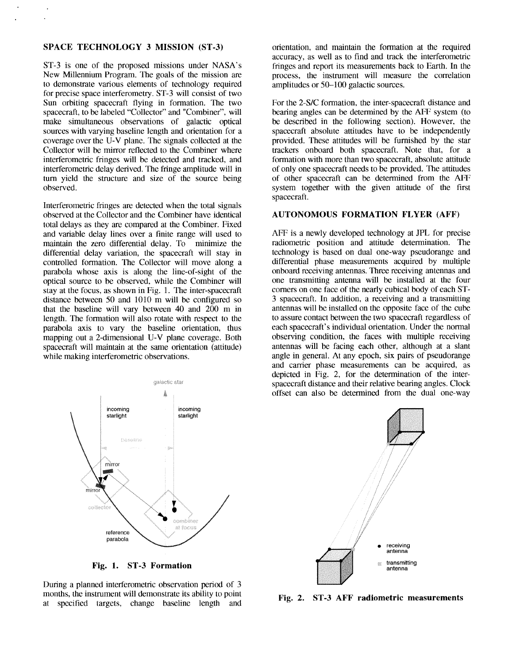## **SPACE TECHNOLOGY 3 MISSION (ST-3)**

**ST-3** is one of the proposed missions under **NASA's**  New Millennium Program. The goals of the mission are to demonstrate various elements of technology required for precise space interferometry. **ST-3** will consist of two Sun orbiting spacecraft flying in formation. The two spacecraft, to be labeled "Collector" and "Combiner", will make simultaneous observations of galactic optical sources with varying baseline length and orientation for a coverage over the U-V plane. The signals collected at the Collector will be mirror reflected to the Combiner where interferometric fringes will be detected and tracked, and interferometric delay derived. The fringe amplitude will in turn yield the structure and size of the source being observed.

Interferometric fringes are detected when the total signals observed at the Collector and the Combiner have identical total delays as they are compared at the Combiner. Fixed and variable delay lines over a finite range will used to maintain the zero differential delay. To minimize the differential delay variation, the spacecraft will stay in controlled formation. The Collector will move along a parabola whose axis is along the line-of-sight of the optical source to be observed, while the Combiner will stay at the focus, as shown in Fig. 1. The inter-spacecraft distance between 50 and  $1010~\text{m}$  will be configured so that the baseline will vary between 40 and 200 m in length. The formation will also rotate with respect to the parabola axis to vary the baseline orientation, thus mapping out a 2-dimensional U-V plane coverage. Both spacecraft will maintain at the same orientation (attitude) while making interferometric observations.



**Fig. 1. ST-3 Formation** 

During a planned interferometric observation period of *3*  months, the instrument will demonstrate its ability to point at specified targets, change baseline length and orientation, and maintain the formation at the required accuracy, as well as to find and track the interferometric fringes and report its measurements back to Earth. In the process, the instrument will measure the correlation amplitudes or 50-100 galactic sources.

For the 2-S/C formation, the inter-spacecraft distance and bearing angles can be determined by the AFF system (to be described in the following section). However, the spacecraft absolute attitudes have to be independently provided. These attitudes will be furnished by the star trackers onboard both spacecraft. Note hat, for a formation with more than two spacecraft, absolute attitude of only one spacecraft needs to be provided. 'Ihe attitudes of other spacecraft can be determined from the AFF system together with the given attitude of the first spacecraft.

#### **AUTONOMOUS FORMATION FLYER (AFF)**

AFF is a newly developed technology at JPL for precise radiometric position and attitude determination. The technology is based on dual one-way pseudorange and differential phase measurements acquired by multiple onboard receiving antennas. Three receiving antennas and one transmitting antenna will be installed at the four comers on one face of the nearly cubical body of each *ST-3* spacecraft. In addition, a receiving and a transmitting antennas will be installed on the opposite face of the cube to assure contact between the two spacecraft regardless of each spacecraft's individual orientation. Under the normal observing condition, the faces with multiple receiving antennas will be facing each other, although at a slant angle in general. At any epoch, six pairs of pseudorange and carrier phase measurements can be acquired, as depicted in Fig. 2, for the determination of the interspacecraft distance and their relative bearing angles. Clock offset can also be determined from the dual one-way



**Fig. 2. ST-3 AFF radiometric measurements**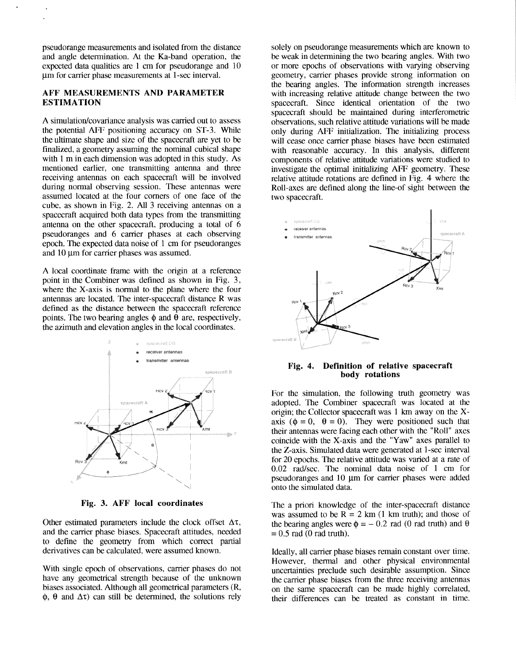pseudorange measurements and isolated from the distance and angle determination. **At** the Ka-band operation, the expected data qualities are  $1 \text{ cm}$  for pseudorange and  $10 \text{ cm}$ um for carrier phase measurements at 1-sec interval.

# **AFF MEASUREMENTS AND PARAMETER ESTIMATION**

A simulation/covariance analysis was carried out to assess the potential **AFF** positioning accuracy on ST-3. While the ultimate shape and size of the spacecraft are yet to be finalized, a geometry assuming the nominal cubical shape with 1 m in each dimension was adopted in this study. **As**  mentioned earlier, one transmitting antenna and three receiving antennas on each spacecraft will be involved during normal observing session. These antennas were assumed located at the four comers of one face of the cube, as shown in Fig. 2. All *3* receiving antennas on a spacecraft acquired both data types from the transmitting antenna on the other spacecraft, producing a total of 6 pseudoranges and 6 carrier phases at each observing epoch. The expected data noise of 1 *cm* for pseudoranges and  $10 \mu m$  for carrier phases was assumed.

**A** local coordinate frame with the origin at a reference point in the Combiner was defined as shown in Fig. *3,*  where the X-axis is normal to the plane where the four antennas are located. The inter-spacecraft distance R was defined as the distance between the spacecraft reference points. The two bearing angles  $\phi$  and  $\bar{\theta}$  are, respectively, the azimuth and elevation angles in the local coordinates.



**Fig. 3. AFF local coordinates** 

Other estimated parameters include the clock offset  $\Delta \tau$ , and the carrier phase biases. Spacecraft attitudes, needed to define the geometry from which correct partial derivatives can be calculated, were assumed known.

With single epoch of observations, carrier phases do not have any geometrical strength because of the unknown biases associated. Although all geometrical parameters (R,  $\phi$ ,  $\theta$  and  $\Delta\tau$ ) can still be determined, the solutions rely

solely on pseudorange measurements which are known to be weak in determining the two bearing angles. With two or more epochs of observations with varying observing geometry, carrier phases provide strong information on the bearing angles. The information strength increases with increasing relative attitude change between the two spacecraft. Since identical orientation of the two spacecraft should be maintained during interferometric observations, such relative attitude variations will bemade only during **AFF** initialization. 'The initializing process will cease once carrier phase biases have been estimated with reasonable accuracy. In this analysis, different components of relative attitude variations were studied to investigate the optimal initializing **AFF** geometry. These relative attitude rotations are defined in Fig. 4 where the Roll-axes are defined along the line-of sight between the two spacecraft.



**Fig. 4. Definition of relative spacecraft body rotations** 

For the simulation, the following truth geometry was adopted. The Combiner spacecraft was located at he origin; the Collector spacecraft was 1 km away on the Xaxis  $(\phi = 0, \theta = 0)$ . They were positioned such that their antennas were facing each other with the "Roll" axes coincide with the X-axis and the "Yaw" axes parallel to the Z-axis. Simulated data were generated at I-sec interval for 20 epochs. The relative attitude was varied at a rate of 0.02 rad/sec. The nominal data noise of 1 cm for pseudoranges and  $10 \mu m$  for carrier phases were added onto the simulated data.

The a priori knowledge of the inter-spacecraft distance was assumed to be  $R = 2 \text{ km} (1 \text{ km truth})$ ; and those of the bearing angles were  $\phi = -0.2$  rad (0 rad truth) and  $\theta$  $= 0.5$  rad (0 rad truth).

Ideally, all carrier phase biases remain constant over time. However, thermal and other physical environmental uncertainties preclude such desirable assumption. Since the carrier phase biases from the three receiving antennas on the same spacecraft can be made highly correlated, their differences can be treated as constant in time.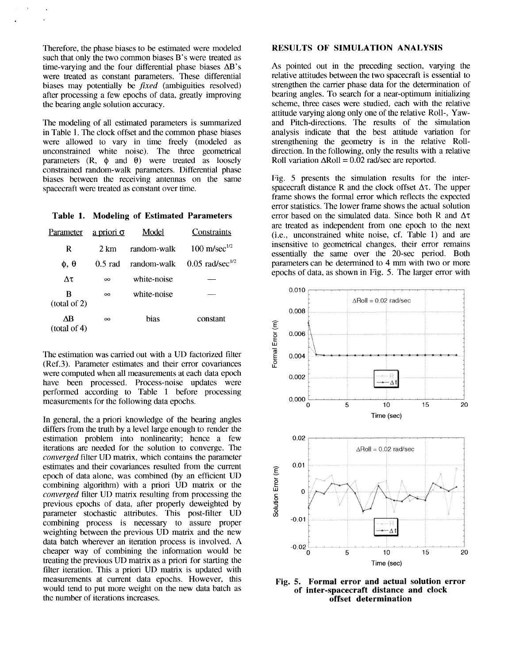Therefore, the phase biases to be estimated were modeled such that only the two common biases B's were treated as time-varying and the four differential phase biases **AB'S**  were treated as constant parameters. These differential biases may potentially be *fixed* (ambiguities resolved) after processing a few epochs of data, greatly improving the bearing angle solution accuracy.

'The modeling of all estimated parameters is summarized in Table 1. The clock offset and the common phase biases were allowed to vary in time freely (modeled as unconstrained white noise). The three gometrical parameters  $(R, \phi \text{ and } \theta)$  were treated as loosely constrained random-walk parameters. Differential phase biases between the receiving antennas on the same spacecraft were treated as constant over time.

**Table 1. Modeling of Estimated Parameters** 

| Parameter          | a priori $\sigma$ | Model       | Constraints                   |
|--------------------|-------------------|-------------|-------------------------------|
| R                  | 2. km             | random-walk | $100 \text{ m/sec}^{1/2}$     |
| $\phi$ , $\theta$  | $0.5$ rad         | random-walk | $0.05$ rad/sec <sup>1/2</sup> |
| Λτ                 | $\infty$          | white-noise |                               |
| в<br>(total of 2)  | $\infty$          | white-noise |                               |
| ΔB<br>(total of 4) | $\infty$          | hias        | constant                      |

The estimation was carried out with a UD factorized filter (Ref.3). Parameter estimates and their error covariances were computed when all measurements at each data epoch have been processed. Process-noise updates were performed according to Table 1 before processing measurements for the following data epochs.

In general, the a priori knowledge of the bearing angles differs from the truth by a level large enough to render the estimation problem into nonlinearity; hence a few iterations are needed for the solution to converge. The *converged* filter UD matrix, which contains the parameter estimates and their covariances resulted from the current epoch of data alone, was combined (by an efficient UD combining algorithm) with a priori UD matrix or the *converged* filter UD matrix resulting from processing the previous epochs of data, after properly deweighted by parameter stochastic attributes. This post-filter **UD**  combining process is necessary to assure proper weighting between the previous UD matrix and the new data batch wherever an iteration process is involved. **A**  cheaper way of combining the information would be treating the previous UD matrix as a priori for starting the filter iteration. This a priori UD matrix is updated with measurements at current data epochs. However, this would tend to put more weight on the new data batch as the number of iterations increases.

#### **RESULTS OF SIMULATION ANALYSIS**

**As** pointed out in the preceding section, varying the relative attitudes between the two spacecraft is essential to strengthen the carrier phase data for the determination of bearing angles. To search for a near-optimum initializing scheme, three cases were studied, each with the relative attitude varying along only one of the relative Roll-, Yawand Pitch-directions. The results of the simulation analysis indicate that the best attitude variation for strengthening the geometry is in the relative Rolldirection. In the following, only the results with a relative Roll variation  $\Delta \text{Roll} = 0.02$  rad/sec are reported.

Fig. 5 presents the simulation results for the interspacecraft distance R and the clock offset  $\Delta \tau$ . The upper frame shows the formal error which reflects the expected error statistics. The lower frame shows the actual solution error based on the simulated data. Since both R and  $\Delta \tau$ are treated as independent from one epoch to the next (i.e., unconstrained white noise, cf. Table **1)** and are insensitive to geometrical changes, their error remains essentially the same over the 20-sec period. Both parameters can be determined to 4 mm with two or more epochs of data, as shown in Fig. 5. The larger error with



**Fig. 5. Formal error and actual solution error of inter-spacecraft distance and clock offset determination**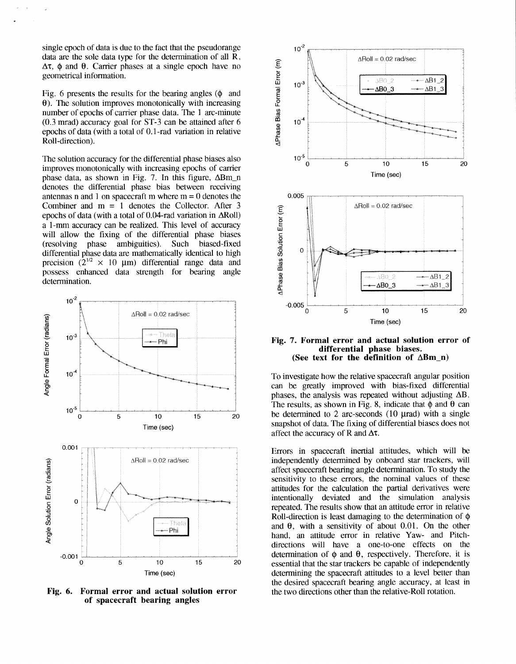single epoch of data is due to the fact that the pseudorange data are the sole data type for the determination of all R,  $\Delta \tau$ ,  $\phi$  and  $\theta$ . Carrier phases at a single epoch have no geometrical information.

Fig. 6 presents the results for the bearing angles  $(\phi$  and  $\theta$ ). The solution improves monotonically with increasing number of epochs of carrier phase data. The 1 arc-minute  $(0.3 \text{ mrad})$  accuracy goal for ST-3 can be attained after 6 epochs of data (with a total of 0.1-rad variation in relative Roll-direction).

The solution accuracy for the differential phase biases also improves monotonically with increasing epochs of carrier phase data, as shown in Fig. 7. In this figure, ABm-n denotes the differential phase bias between receiving antennas n and 1 on spacecraft m where  $m = 0$  denotes the Combiner and m = 1 denotes the Collector. After *3*  epochs of data (with a total of 0.04-rad variation in ARoll) a 1-mm accuracy can be realized. This level of accuracy will allow the fixing of the differential phase biases<br>(resolving phase ambiguities). Such biased-fixed phase ambiguities). Such biased-fixed differential phase data are mathematically identical to high precision  $(2^{1/2} \times 10 \mu m)$  differential range data and possess enhanced data strength for bearing angle determination.



**Fig. 6. Formal error and actual solution error of spacecraft bearing angles** 



#### **Fig. 7. Formal error and actual solution error of differential phase biases. (See text for the definition of ARm-n)**

To investigate how the relative spacecraft angular position can be greatly improved with bias-fixed differential phases, the analysis was repeated without adjusting **AB.**  The results, as shown in Fig. 8, indicate that  $\phi$  and  $\theta$  can be determined to 2 arc-seconds  $(10 \text{ } \mu \text{rad})$  with a single snapshot of data. The fixing of differential biases does not affect the accuracy of **R** and **AT.** 

Errors in spacecraft inertial attitudes, which will be independently determined by onboard star trackers, will affect spacecraft bearing angle determination. To study the sensitivity to these errors, the nominal values of these attitudes for the calculation the partial derivatives were intentionally deviated and the simulation analysis repeated. The results show that an attitude error in relative Roll-direction is least damaging to the determination of  $\phi$ and **0,** with a sensitivity of about 0.01. On the other hand, an attitude error in relative Yaw- and Pitchdirections will have a one-to-one effects on the determination of  $\phi$  and  $\theta$ , respectively. Therefore, it is essential that the star trackers be capable of independently determining the spacecraft attitudes to a level better than the desired spacecraft bearing angle accuracy, at least in the two directions other than the relative-Roll rotation.